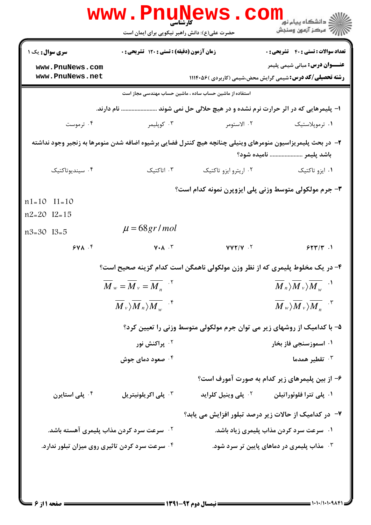|                                                                                                             | <b>www.Pnunews.co</b><br>کارشناسی<br>حضرت علی(ع): دانش راهبر نیکویی برای ایمان است |                                | ن دانشگاه پيام نو <mark>ر</mark><br>ر آمرڪز آزمون وسنڊش                                                                                       |  |
|-------------------------------------------------------------------------------------------------------------|------------------------------------------------------------------------------------|--------------------------------|-----------------------------------------------------------------------------------------------------------------------------------------------|--|
| <b>سری سوال :</b> یک ۱                                                                                      | <b>زمان آزمون (دقیقه) : تستی : 120 گشریحی : 0</b>                                  |                                | <b>تعداد سوالات : تستی : 40 - تشریحی : 0</b>                                                                                                  |  |
| www.PnuNews.com<br>www.PnuNews.net                                                                          |                                                                                    |                                | <b>عنـــوان درس:</b> مبانی شیمی پلیمر<br><b>رشته تحصیلی/کد درس:</b> شیمی گرایش محض،شیمی (کاربردی )۵۶۰ ۱۱۱۴۰                                   |  |
|                                                                                                             | استفاده از ماشین حساب ساده ، ماشین حساب مهندسی مجاز است                            |                                |                                                                                                                                               |  |
|                                                                                                             | ا- پلیمرهایی که در اثر حرارت نرم نشده و در هیچ حلالی حل نمی شوند  نام دارند.       |                                |                                                                                                                                               |  |
| ۰۴ ترموست                                                                                                   | ۰۳ کوپلیمر                                                                         | ۰۲ الاستومر                    | ۰۱ ترموپلاستیک                                                                                                                                |  |
| ۲- در بحث پلیمریزاسیون منومرهای وینیلی چنانچه هیچ کنترل فضایی برشیوه اضافه شدن منومرها به زنجیر وجود نداشته |                                                                                    |                                |                                                                                                                                               |  |
|                                                                                                             | باشد پلیمر  نامیده شود؟                                                            |                                |                                                                                                                                               |  |
| ۰۴ سينديوتاكتيک                                                                                             | ۰۳ اتاکتیک                                                                         | ۰۲ اریترو ایزو تاکتیک          | ۰۱ ایزو تاکتیک                                                                                                                                |  |
|                                                                                                             |                                                                                    |                                | ۳- جرم مولکولی متوسط وزنی پلی ایزوپرن نمونه کدام است؟                                                                                         |  |
| $n1=10$ $I1=10$                                                                                             |                                                                                    |                                |                                                                                                                                               |  |
| $n2=20$ $I2=15$                                                                                             |                                                                                    |                                |                                                                                                                                               |  |
| n3=30 I3=5                                                                                                  | $\mu = 68gr/mol$                                                                   |                                |                                                                                                                                               |  |
| 941.5                                                                                                       | $V \cdot A \cdot Y$                                                                | $YYY/Y$ .                      | $5577/7$ .                                                                                                                                    |  |
|                                                                                                             |                                                                                    |                                | ۴- در یک مخلوط پلیمری که از نظر وزن مولکولی ناهمگن است کدام گزینه صحیح است؟                                                                   |  |
|                                                                                                             | $M_w = M_v = \overline{M}_n$ <sup>.</sup>                                          |                                | $\langle M _n\rangle M _v\rangle \overline{M}_w$ .                                                                                            |  |
|                                                                                                             | $\langle M _v\rangle M _n\rangle \overline{M _w}$ .                                |                                | $\overline{M}_{\mathrm{w}}\rangle\overline{\overline{M}}_{\mathrm{v}}\rangle\overline{\overline{M}_{\mathrm{w}}}$ . $\mathrm{M}_{\mathrm{w}}$ |  |
|                                                                                                             |                                                                                    |                                | ۵– با کدامیک از روشهای زیر می توان جرم مولکولی متوسط وزنی را تعیین کرد؟                                                                       |  |
|                                                                                                             | ۰ <sup>۲</sup> پراکنش نور                                                          |                                | ۰۱ اسموزسنجي فاز بخار                                                                                                                         |  |
|                                                                                                             | ۰۴ صعود دمای جوش                                                                   |                                | تقطير همدما $\cdot$                                                                                                                           |  |
|                                                                                                             |                                                                                    |                                | ۶– از بین پلیمرهای زیر کدام به صورت آمورف است؟                                                                                                |  |
| ۰ <sup>۴</sup> پلی استایرن                                                                                  | ۰ <sup>۳</sup> پلی اکریلونیتریل                                                    | <sup>۲.</sup> پلی وینیل کلراید | ۰۱ پلی تترا فلوئوراتیلن                                                                                                                       |  |
|                                                                                                             |                                                                                    |                                | ۷- در کدامیک از حالات زیر درصد تبلور افزایش می یابد؟                                                                                          |  |
|                                                                                                             | <b>گ سرعت سرد کردن مذاب پلیمری آهسته باشد.</b>                                     |                                | ۰۱ سرعت سرد کردن مذاب پلیمری زیاد باشد.                                                                                                       |  |
| ۰۴ سرعت سرد کردن تاثیری روی میزان تبلور ندارد.                                                              |                                                                                    |                                | شاب پلیمری در دماهای پایین تر سرد شود. $\cdot$                                                                                                |  |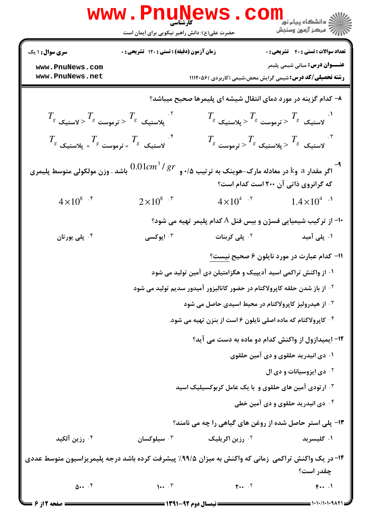|                                                                                                                                                | <b>www.PnuNews</b><br>کارشناسی<br>حضرت علی(ع): دانش راهبر نیکویی برای ایمان است |                                                                                       | ر دانشگاه پیام نور<br>ا <mark>ر</mark> دانشگاه پیام نور<br>ار                     |  |
|------------------------------------------------------------------------------------------------------------------------------------------------|---------------------------------------------------------------------------------|---------------------------------------------------------------------------------------|-----------------------------------------------------------------------------------|--|
| <b>سری سوال : ۱ یک</b>                                                                                                                         | زمان آزمون (دقیقه) : تستی : ۱۲۰ تشریحی : ۰                                      |                                                                                       | <b>تعداد سوالات : تستي : 40 - تشريحي : 0</b>                                      |  |
| www.PnuNews.com<br>www.PnuNews.net                                                                                                             |                                                                                 | <b>رشته تحصیلی/کد درس:</b> شیمی گرایش محض،شیمی (کاربردی )۱۱۱۴۰۵۶                      | <b>عنـــوان درس:</b> مبانی شیمی پلیمر                                             |  |
| ۸– کدام گزینه در مورد دمای انتقال شیشه ای پلیمرها صحیح میباشد؟                                                                                 |                                                                                 |                                                                                       |                                                                                   |  |
| $T_{_S}$ پلاستیک $T_{_S}$ $<$ ترموست $\epsilon$ $<$ لاستیک $^{\sim}$                                                                           |                                                                                 |                                                                                       | $T_{_S}$ لاستیک $T_{_S}$ $<$ ترموست $\frac{1}{S}$ $<$ پلاستیک $^{\cdot \, \cdot}$ |  |
| $T_{_S}$ لاستیک $\frac{T}{s}$ = ترموست $^{-S}$ = پلاستیک $^{\mathfrak{f}}$                                                                     |                                                                                 |                                                                                       | $T_{_S}$ لاستیک $T_{_S}$ پلاستیک $^T$ < ترموست $^{\backprime \, \cdot}$           |  |
| $0.01cm^3/gr$<br>اگر مقدار a وk در معادله مارک-هوینک به ترتیب ۰/۵ و<br>باشد . وزن مولکولی متوسط پلیمری<br>که گرانروی ذاتی آن ۲۰۰ است کدام است؟ |                                                                                 |                                                                                       |                                                                                   |  |
| $4 \times 10^{8}$ .*                                                                                                                           | $2\times10^{8}$ .*                                                              | $4 \times 10^{4}$ . <sup>7</sup>                                                      | $1.4 \times 10^{4}$ <sup>.1</sup>                                                 |  |
|                                                                                                                                                |                                                                                 | +۱- از ترکیب شیمیایی فسژن و بیس فنل A کدام پلیمر تهیه می شود؟                         |                                                                                   |  |
| ۰۴ پلی یورتان                                                                                                                                  | ۰۳ اپوکسی                                                                       | <sup>۲ .</sup> پلی کربنات                                                             | ۰۱ پلی آمید                                                                       |  |
|                                                                                                                                                |                                                                                 |                                                                                       | 11- کدام عبارت در مورد نایلون ۶ صحیح <u>نیست؟</u>                                 |  |
|                                                                                                                                                |                                                                                 | ۰۱ از واکنش تراکمی اسید آدیپیک و هگزامتیلن دی آمین تولید می شود                       |                                                                                   |  |
|                                                                                                                                                |                                                                                 | <sup>۲ .</sup> از باز شدن حلقه کاپرولاکتام در حضور کاتالیزور آمیدور سدیم تولید می شود |                                                                                   |  |
|                                                                                                                                                |                                                                                 | ۰ <sup>۳ .</sup> از هیدرولیز کاپرولاکتام در محیط اسیدی حاصل می شود                    |                                                                                   |  |
|                                                                                                                                                |                                                                                 | ۰۴ کاپرولاکتام که ماده اصلی نایلون ۶ است از بنزن تهیه می شود.                         |                                                                                   |  |
| ۱۲- ایمیدازول از واکنش کدام دو ماده به دست می آید؟                                                                                             |                                                                                 |                                                                                       |                                                                                   |  |
|                                                                                                                                                |                                                                                 |                                                                                       | ۰۱ دی انیدرید حلقوی و دی آمین حلقوی                                               |  |
|                                                                                                                                                |                                                                                 |                                                                                       | <b>10 دی ایزوسیانات و دی ال</b>                                                   |  |
| ۰۳ ارتودی آمین های حلقوی و با یک عامل کربوکسیلیک اسید                                                                                          |                                                                                 |                                                                                       |                                                                                   |  |
|                                                                                                                                                |                                                                                 |                                                                                       | ۰۴ دی انیدرید حلقوی و دی آمین خطی                                                 |  |
|                                                                                                                                                |                                                                                 | <b>۱۳</b> - پلی استر حاصل شده از روغن های گیاهی را چه می نامند؟                       |                                                                                   |  |
| ۰۴ رزين آلکيد                                                                                                                                  | سيلوكسان $\cdot$                                                                | <sup>۲.</sup> رزین اکریلیک                                                            | ۰۱ گلیسرید                                                                        |  |
| ۱۴- در یک واکنش تراکمی زمانی که واکنش به میزان ۹۹/۵٪ پیشرفت کرده باشد درجه پلیمریزاسیون متوسط عددی                                             |                                                                                 |                                                                                       | چقدر است؟                                                                         |  |
| $\Delta \cdots$ <sup>5</sup>                                                                                                                   | $1 \cdot \cdot \cdot$                                                           | $Y \cdot \cdot \cdot$ $Y$                                                             | f                                                                                 |  |
| صفحه 2 از 6 =                                                                                                                                  |                                                                                 | <b>ـــــ نیمسال دوم ۹۲-۱۳۹۱ ـــــ</b>                                                 | 1・1・/1・1・9ハ۴1 =                                                                   |  |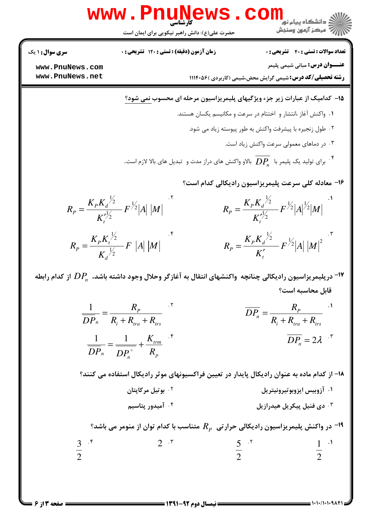$$
R_{P} = \frac{K_{P}K_{q}/2}{K_{P}^{2}} = |A||M|
$$
\n
$$
R_{P} = \frac{K_{P}K_{q}/2}{K_{P}^{2}} = 2A
$$
\n
$$
R_{P} = \frac{1}{DP_{n}} = \frac{1}{R_{1} + R_{n_{00}} + R_{p}}
$$
\n
$$
= 2A + R_{100}
$$
\n
$$
= 3A + R_{100}
$$
\n
$$
= 3A + R_{100}
$$
\n
$$
= 3A + R_{100}
$$
\n
$$
= 3A + R_{100}
$$
\n
$$
= 3A + R_{100}
$$
\n
$$
= 3A + R_{100}
$$
\n
$$
= 3A + R_{100}
$$
\n
$$
= 3A + R_{100}
$$
\n
$$
= 3A + R_{100}
$$
\n
$$
= 3A + R_{100}
$$
\n
$$
= 3A + R_{100}
$$
\n
$$
= 3A + R_{100}
$$
\n
$$
= 3A + R_{100}
$$
\n
$$
= 3A + R_{100}
$$
\n
$$
= 3A + R_{100}
$$
\n
$$
= 3A + R_{100}
$$
\n
$$
= 3A + R_{100}
$$
\n
$$
= 3A + R_{100}
$$
\n
$$
= 3A + R_{100}
$$
\n
$$
= 3A + R_{100}
$$
\n
$$
= 3A + R_{100}
$$
\n
$$
= 3A + R_{100}
$$
\n
$$
= 3A + R_{100}
$$
\n
$$
= 3A + R_{100}
$$
\n
$$
= 3A + R_{100}
$$
\n
$$
= 3A + R_{100}
$$
\n
$$
= 3A + R_{100}
$$
\n
$$
= 3A + R_{100}
$$
\n
$$
= 3A + R_{100}
$$
\n
$$
= 3A + R_{100}
$$
\n
$$
= 3A + R_{100
$$

**= نیمسال دوم ۹۲-۱۳۹۱ <del>-</del>** 

= ۱۰۱۰/۱۰۱۰۹۸۴۱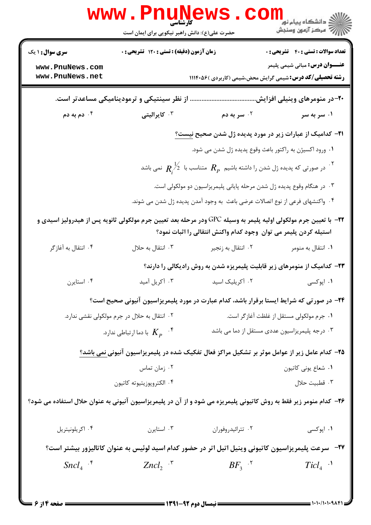|                                                                                                                                                                                        | <b>WWW.Pnungth</b><br>حضرت علی(ع): دانش راهبر نیکویی برای ایمان است                     |                                                                                                             | ر دانشگاه پيام نور <mark>−</mark><br>ا∛ مرکز آزمون وسنجش |  |
|----------------------------------------------------------------------------------------------------------------------------------------------------------------------------------------|-----------------------------------------------------------------------------------------|-------------------------------------------------------------------------------------------------------------|----------------------------------------------------------|--|
| <b>سری سوال : ۱ یک</b>                                                                                                                                                                 | زمان آزمون (دقیقه) : تستی : ۱۲۰ تشریحی : ۰                                              |                                                                                                             | <b>تعداد سوالات : تستی : 40 ٪ تشریحی : 0</b>             |  |
| www.PnuNews.com<br>www.PnuNews.net                                                                                                                                                     |                                                                                         | <b>رشته تحصیلی/کد درس:</b> شیمی گرایش محض،شیمی (کاربردی )۱۱۱۴۰۵۶                                            | <b>عنـــوان درس:</b> مبانی شیمی پلیمر                    |  |
|                                                                                                                                                                                        | از نظر سینتیکی و ترمودینامیکی مساعدتر است.                                              |                                                                                                             | ۲۰–در منومرهای وینیلی افزایش                             |  |
| دم به دم $\cdot$ $^{\circ}$                                                                                                                                                            | ۰ <sup>۳</sup> کایرالیتی                                                                | ۰ <sup>۲</sup> سر به دم                                                                                     | ۰۱ سر به سر                                              |  |
|                                                                                                                                                                                        |                                                                                         | <b>ا۲-</b> کدامیک از عبارات زیر در مورد پدیده ژل شدن صحیح نیست <u>؟</u>                                     |                                                          |  |
|                                                                                                                                                                                        |                                                                                         | ۰۱ ورود اکسیژن به راکتور باعث وقوع پدیده ژل شدن می شود.                                                     |                                                          |  |
|                                                                                                                                                                                        |                                                                                         | در صورتی که پدیده ژل شدن را داشته باشیم $R_{_P}$ متناسب با $\stackrel{1}{Z}$ نمی باشد $^{\mathcal{F}}$      |                                                          |  |
|                                                                                                                                                                                        |                                                                                         | ۰۳ در هنگام وقوع پدیده ژل شدن مرحله پایانی پلیمریزاسیون دو مولکولی است.                                     |                                                          |  |
|                                                                                                                                                                                        |                                                                                         | ۰۴ واکنشهای فرعی از نوع اتصالات عرضی باعث به وجود آمدن پدیده ژل شدن می شوند.                                |                                                          |  |
| ۲۲−  با تعیین جرم مولکولی اولیه پلیمر به وسیله GPC ودر مرحله بعد تعیین جرم مولکولی ثانویه پس از هیدرولیز اسیدی و<br>استيله كردن پليمر مي توان ۖ وجود كدام واكنش انتقالي را اثبات نمود؟ |                                                                                         |                                                                                                             |                                                          |  |
| ۰۴ انتقال به آغازگر                                                                                                                                                                    | ۰۳ انتقال به حلال                                                                       | ۰۲ انتقال به زنجير                                                                                          | ۰۱ انتقال به منومر                                       |  |
|                                                                                                                                                                                        |                                                                                         | <b>۲۳</b> – کدامیک از منومرهای زیر قابلیت پلیمریزه شدن به روش رادیکالی را دارند؟                            |                                                          |  |
| ۰۴ استايرن                                                                                                                                                                             | ۰۳ آکریل آمید                                                                           | ٠٢ آكريليک اسيد                                                                                             | ۰۱ اپوکسی                                                |  |
|                                                                                                                                                                                        |                                                                                         | ۲۴- در صورتی که شرایط ایستا برقرار باشد، کدام عبارت در مورد پلیمریزاسیون آنیونی صحیح است؟                   |                                                          |  |
|                                                                                                                                                                                        | ۰۲ انتقال به حلال در جرم مولکولی نقشی ندارد.                                            |                                                                                                             | ٠١ جرم مولكولي مستقل از غلظت آغازگر است.                 |  |
|                                                                                                                                                                                        | ۰۳ درجه پلیمریزاسیون عددی مستقل از دما می باشد<br>با دما ارتباطی ندارد. $K_p$ $\cdot$ * |                                                                                                             |                                                          |  |
|                                                                                                                                                                                        |                                                                                         | ۲۵– کدام عامل زیر از عوامل موثر بر تشکیل مراکز فعال تفکیک شده در پلیمریزاسیون آنیونی نمی باشد؟              |                                                          |  |
|                                                                                                                                                                                        | ۰۲ زمان تماس                                                                            |                                                                                                             | ٠١. شعاع يوني كاتيون                                     |  |
|                                                                                                                                                                                        | ۰۴ الكتروپوزيتيوته كاتيون                                                               |                                                                                                             | ٠٣ قطبيت حلال                                            |  |
| ۲۶– کدام منومر زیر فقط به روش کاتیونی پلیمریزه می شود و از آن در پلیمریزاسیون آنیونی به عنوان حلال استفاده می شود؟                                                                     |                                                                                         |                                                                                                             |                                                          |  |
| ۰۴ اکریلونیتریل                                                                                                                                                                        | ۰۳ استایرن                                                                              | ۰۲ تترائیدروفوران                                                                                           | ۰۱ اپوکسی                                                |  |
|                                                                                                                                                                                        |                                                                                         | <b>۲۷</b> -۔ سرعت پلیمریزاسیون کاتیونی وینیل اتیل اتر در حضور کدام اسید لوئیس به عنوان کاتالیزور بیشتر است؟ |                                                          |  |
| $Sncl4$ <sup>+</sup>                                                                                                                                                                   | $Zncl_2$ $\mathcal{F}$                                                                  | $BF_3$ $\cdot$ <sup>5</sup>                                                                                 | $Ticl_4$ <sup>1</sup>                                    |  |
|                                                                                                                                                                                        |                                                                                         |                                                                                                             |                                                          |  |

 $= 1.1 - 11.1 - 9.19$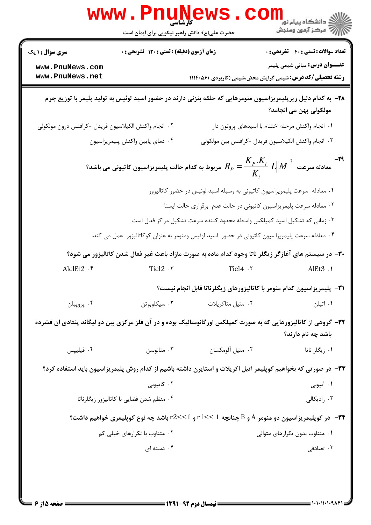|                                                      | <b>WWW.PIIUNE</b><br>حضرت علی(ع): دانش راهبر نیکویی برای ایمان است |                                                                                                | ڪ دانشڪاه پيام نور<br><mark>∕</mark> > مرڪز آزمون وسنڊش                                                                                                                                                                                 |
|------------------------------------------------------|--------------------------------------------------------------------|------------------------------------------------------------------------------------------------|-----------------------------------------------------------------------------------------------------------------------------------------------------------------------------------------------------------------------------------------|
| <b>سری سوال : ۱ یک</b>                               | زمان آزمون (دقیقه) : تستی : ۱۲۰ تشریحی : ۰                         |                                                                                                | <b>تعداد سوالات : تستی : 40 - تشریحی : 0</b>                                                                                                                                                                                            |
| www.PnuNews.com<br>www.PnuNews.net                   |                                                                    |                                                                                                | <b>عنـــوان درس:</b> مبانی شیمی پلیمر<br><b>رشته تحصیلی/کد درس:</b> شیمی گرایش محض،شیمی (کاربردی )۱۱۱۴۰۵۶                                                                                                                               |
|                                                      |                                                                    |                                                                                                | ۲۸– به کدام دلیل زیرپلیمریزاسیون منومرهایی که حلقه بنزنی دارند در حضور اسید لوئیس به تولید پلیمر با توزیع جرم<br>مولکولی پهن می انجامد؟                                                                                                 |
| ٠٢ انجام واكنش الكيلاسيون فريدل -كرافتس درون مولكولي |                                                                    |                                                                                                | ۰۱ انجام واکنش مرحله اختتام با اسیدهای پروتون دار                                                                                                                                                                                       |
|                                                      | ۰۴ دمای پایین واکنش پلیمریزاسیون                                   |                                                                                                | ٣. انجام واكنش الكيلاسيون فريدل -كرافتس بين مولكولي                                                                                                                                                                                     |
|                                                      |                                                                    |                                                                                                | مربوط به کدام حالت پلیمریزاسیون کاتیونی می باشد؟ $R_{\scriptscriptstyle P} = \dfrac{K_{\scriptscriptstyle P}.K_{\scriptscriptstyle i}}{K_{\scriptscriptstyle .}} \big L\big\ M\big\ ^3$ مربوط به کدام حالت پلیمریزاسیون کاتیونی می باشد |
|                                                      |                                                                    | ۰۱ معادله سرعت پلیمریزاسیون کاتیونی به وسیله اسید لوئیس در حضور کاتالیزور                      |                                                                                                                                                                                                                                         |
|                                                      |                                                                    | ۰۲ معادله سرعت پلیمریزاسیون کاتیونی در حالت عدم برقراری حالت ایستا                             |                                                                                                                                                                                                                                         |
|                                                      |                                                                    | ۰۳ زمانی که تشکیل اسید کمپلکس واسطه محدود کننده سرعت تشکیل مراکز فعال است                      |                                                                                                                                                                                                                                         |
|                                                      |                                                                    | ۰۴ معادله سرعت پلیمریزاسیون کاتیونی در حضور اسید لوئیس ومنومر به عنوان کوکاتالیزور عمل می کند. |                                                                                                                                                                                                                                         |
|                                                      |                                                                    |                                                                                                | ۳۰– در سیستم های آغازگر زیگلر ناتا وجود کدام ماده به صورت مازاد باعث غیر فعال شدن کاتالیزور می شود؟                                                                                                                                     |
| AlclEt2 . ۴                                          | $Tic12$ . ٣                                                        | Tic14.7                                                                                        | AlEt3.1                                                                                                                                                                                                                                 |
|                                                      |                                                                    |                                                                                                | <b>٣١</b> - پلیمریزاسیون کدام منومر با کاتالیزورهای زیگلرناتا قابل انجام نیست؟                                                                                                                                                          |
| ۰۴ پروپيلن                                           | سيكلوبوتن $\cdot$ ۳ .                                              | ۰۲ متيل متاكريلات                                                                              | ۰۱ اتیلن                                                                                                                                                                                                                                |
|                                                      |                                                                    |                                                                                                | ۳۲– گروهی از کاتالیزورهایی که به صورت کمپلکس اورگانومتالیک بوده و در آن فلز مرکزی بین دو لیگاند پنتادی ان فشرده<br>باشد چه نام دارند؟                                                                                                   |
| ۰۴ فیلیپس                                            | ۰۳ متالوسن                                                         | ٠٢ متيل آلومكسان                                                                               | ٠١. زيگلر ناتا                                                                                                                                                                                                                          |
|                                                      |                                                                    |                                                                                                | ۳۳- در صورتی که بخواهیم کوپلیمر اتیل اکریلات و استایرن داشته باشیم از کدام روش پلیمریزاسیون باید استفاده کرد؟                                                                                                                           |
|                                                      | ۰۲ کاتیونی                                                         |                                                                                                | ۰۱ آنیونی                                                                                                                                                                                                                               |
|                                                      | ۰۴ منظم شدن فضایی با کاتالیزور زیگلرناتا                           |                                                                                                | ۰۳ رادیکالی                                                                                                                                                                                                                             |
|                                                      |                                                                    |                                                                                                | ۰۳۴ در کوپلیمریزاسیون دو منومر A و B چنانچه 1 $\leq < 1$ و 1 $\leq <$ ۲ باشد چه نوع کوپلیمری خواهیم داشت؟ $\blacksquare$                                                                                                                |
|                                                      | ۰۲ متناوب با تکرارهای خیلی کم                                      |                                                                                                | ۰۱ متناوب بدون تکرارهای متوالی                                                                                                                                                                                                          |
|                                                      | ۰۴ دسته ای                                                         |                                                                                                | ۰۳ تصادفی                                                                                                                                                                                                                               |
|                                                      |                                                                    |                                                                                                |                                                                                                                                                                                                                                         |
|                                                      |                                                                    |                                                                                                |                                                                                                                                                                                                                                         |